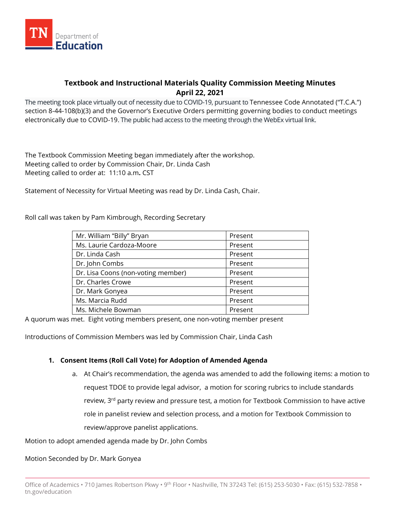

# **Textbook and Instructional Materials Quality Commission Meeting Minutes April 22, 2021**

The meeting took place virtually out of necessity due to COVID-19, pursuant to Tennessee Code Annotated ("T.C.A.") section 8-44-108(b)(3) and the Governor's Executive Orders permitting governing bodies to conduct meetings electronically due to COVID-19. The public had access to the meeting through the WebEx virtual link.

The Textbook Commission Meeting began immediately after the workshop. Meeting called to order by Commission Chair, Dr. Linda Cash Meeting called to order at: 11:10 a.m**.** CST

Statement of Necessity for Virtual Meeting was read by Dr. Linda Cash, Chair.

Roll call was taken by Pam Kimbrough, Recording Secretary

| Mr. William "Billy" Bryan          | Present |
|------------------------------------|---------|
| Ms. Laurie Cardoza-Moore           | Present |
| Dr. Linda Cash                     | Present |
| Dr. John Combs                     | Present |
| Dr. Lisa Coons (non-voting member) | Present |
| Dr. Charles Crowe                  | Present |
| Dr. Mark Gonyea                    | Present |
| Ms. Marcia Rudd                    | Present |
| Ms. Michele Bowman                 | Present |

A quorum was met. Eight voting members present, one non-voting member present

Introductions of Commission Members was led by Commission Chair, Linda Cash

### **1. Consent Items (Roll Call Vote) for Adoption of Amended Agenda**

a. At Chair's recommendation, the agenda was amended to add the following items: a motion to request TDOE to provide legal advisor, a motion for scoring rubrics to include standards review, 3<sup>rd</sup> party review and pressure test, a motion for Textbook Commission to have active role in panelist review and selection process, and a motion for Textbook Commission to review/approve panelist applications.

Motion to adopt amended agenda made by Dr. John Combs

Motion Seconded by Dr. Mark Gonyea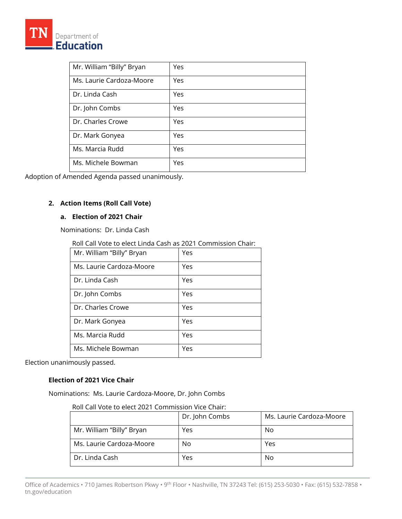| Mr. William "Billy" Bryan | Yes |
|---------------------------|-----|
| Ms. Laurie Cardoza-Moore  | Yes |
| Dr. Linda Cash            | Yes |
| Dr. John Combs            | Yes |
| Dr. Charles Crowe         | Yes |
| Dr. Mark Gonyea           | Yes |
| Ms. Marcia Rudd           | Yes |
| Ms. Michele Bowman        | Yes |

Adoption of Amended Agenda passed unanimously.

## **2. Action Items (Roll Call Vote)**

## **a. Election of 2021 Chair**

Nominations: Dr. Linda Cash

Roll Call Vote to elect Linda Cash as 2021 Commission Chair:

| Mr. William "Billy" Bryan | Yes |
|---------------------------|-----|
| Ms. Laurie Cardoza-Moore  | Yes |
| Dr. Linda Cash            | Yes |
| Dr. John Combs            | Yes |
| Dr. Charles Crowe         | Yes |
| Dr. Mark Gonyea           | Yes |
| Ms. Marcia Rudd           | Yes |
| Ms. Michele Bowman        | Yes |

Election unanimously passed.

## **Election of 2021 Vice Chair**

Nominations: Ms. Laurie Cardoza-Moore, Dr. John Combs

|                           | Dr. John Combs | Ms. Laurie Cardoza-Moore |
|---------------------------|----------------|--------------------------|
| Mr. William "Billy" Bryan | Yes            | No                       |
| Ms. Laurie Cardoza-Moore  | No             | Yes                      |
| Dr. Linda Cash            | Yes            | No                       |

Office of Academics • 710 James Robertson Pkwy • 9th Floor • Nashville, TN 37243 Tel: (615) 253-5030 • Fax: (615) 532-7858 • tn.gov/education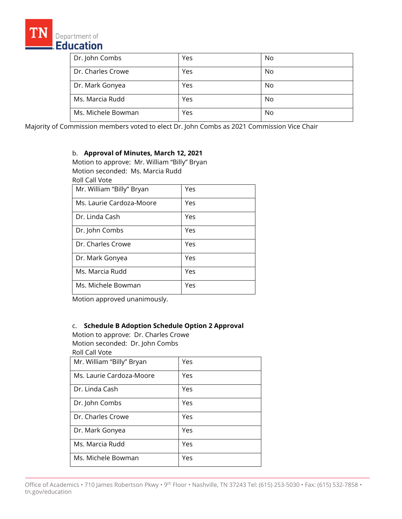

| Dr. John Combs     | Yes | No |
|--------------------|-----|----|
| Dr. Charles Crowe  | Yes | No |
| Dr. Mark Gonyea    | Yes | No |
| Ms. Marcia Rudd    | Yes | No |
| Ms. Michele Bowman | Yes | No |

Majority of Commission members voted to elect Dr. John Combs as 2021 Commission Vice Chair

### b. **Approval of Minutes, March 12, 2021**

Motion to approve: Mr. William "Billy" Bryan Motion seconded: Ms. Marcia Rudd Roll Call Vote

| Mr. William "Billy" Bryan | Yes |
|---------------------------|-----|
| Ms. Laurie Cardoza-Moore  | Yes |
| Dr. Linda Cash            | Yes |
| Dr. John Combs            | Yes |
| Dr. Charles Crowe         | Yes |
| Dr. Mark Gonyea           | Yes |
| Ms. Marcia Rudd           | Yes |
| Ms. Michele Bowman        | Yes |

Motion approved unanimously.

### c. **Schedule B Adoption Schedule Option 2 Approval**

Motion to approve: Dr. Charles Crowe Motion seconded: Dr. John Combs

|  |  | Roll Call Vote |
|--|--|----------------|
|--|--|----------------|

| Mr. William "Billy" Bryan | Yes |
|---------------------------|-----|
| Ms. Laurie Cardoza-Moore  | Yes |
| Dr. Linda Cash            | Yes |
| Dr. John Combs            | Yes |
| Dr. Charles Crowe         | Yes |
| Dr. Mark Gonyea           | Yes |
| Ms. Marcia Rudd           | Yes |
| Ms. Michele Bowman        | Yes |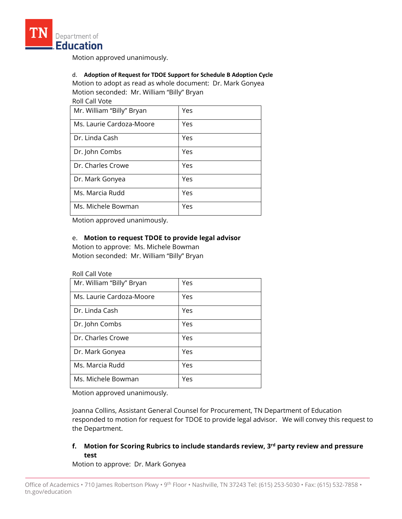

Motion approved unanimously.

### d. **Adoption of Request for TDOE Support for Schedule B Adoption Cycle** Motion to adopt as read as whole document: Dr. Mark Gonyea Motion seconded: Mr. William "Billy" Bryan

Roll Call Vote

| Mr. William "Billy" Bryan | Yes |
|---------------------------|-----|
| Ms. Laurie Cardoza-Moore  | Yes |
| Dr. Linda Cash            | Yes |
| Dr. John Combs            | Yes |
| Dr. Charles Crowe         | Yes |
| Dr. Mark Gonyea           | Yes |
| Ms. Marcia Rudd           | Yes |
| Ms. Michele Bowman        | Yes |

Motion approved unanimously.

### e. **Motion to request TDOE to provide legal advisor**

Motion to approve: Ms. Michele Bowman Motion seconded: Mr. William "Billy" Bryan

#### Roll Call Vote

| Mr. William "Billy" Bryan | Yes |
|---------------------------|-----|
| Ms. Laurie Cardoza-Moore  | Yes |
| Dr. Linda Cash            | Yes |
| Dr. John Combs            | Yes |
| Dr. Charles Crowe         | Yes |
| Dr. Mark Gonyea           | Yes |
| Ms. Marcia Rudd           | Yes |
| Ms. Michele Bowman        | Yes |

Motion approved unanimously.

Joanna Collins, Assistant General Counsel for Procurement, TN Department of Education responded to motion for request for TDOE to provide legal advisor. We will convey this request to the Department.

## **f. Motion for Scoring Rubrics to include standards review, 3rd party review and pressure test**

Motion to approve: Dr. Mark Gonyea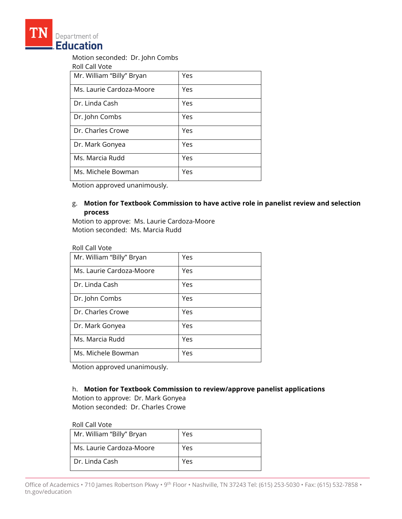

Motion seconded: Dr. John Combs

Roll Call Vote

| Mr. William "Billy" Bryan | Yes |
|---------------------------|-----|
| Ms. Laurie Cardoza-Moore  | Yes |
| Dr. Linda Cash            | Yes |
| Dr. John Combs            | Yes |
| Dr. Charles Crowe         | Yes |
| Dr. Mark Gonyea           | Yes |
| Ms. Marcia Rudd           | Yes |
| Ms. Michele Bowman        | Yes |

Motion approved unanimously.

## g. **Motion for Textbook Commission to have active role in panelist review and selection process**

Motion to approve: Ms. Laurie Cardoza-Moore Motion seconded: Ms. Marcia Rudd

#### Roll Call Vote

| Mr. William "Billy" Bryan | Yes |
|---------------------------|-----|
| Ms. Laurie Cardoza-Moore  | Yes |
| Dr. Linda Cash            | Yes |
| Dr. John Combs            | Yes |
| Dr. Charles Crowe         | Yes |
| Dr. Mark Gonyea           | Yes |
| Ms. Marcia Rudd           | Yes |
| Ms. Michele Bowman        | Yes |

Motion approved unanimously.

### h. **Motion for Textbook Commission to review/approve panelist applications**

Motion to approve: Dr. Mark Gonyea Motion seconded: Dr. Charles Crowe

#### Roll Call Vote

| Mr. William "Billy" Bryan | Yes |
|---------------------------|-----|
| Ms. Laurie Cardoza-Moore  | Yes |
| Dr. Linda Cash            | Yes |